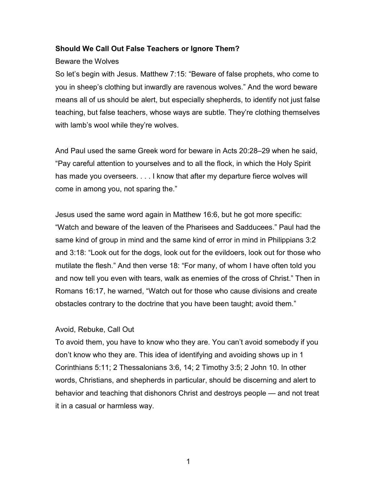# Should We Call Out False Teachers or Ignore Them?

### Beware the Wolves

So let's begin with Jesus. Matthew 7:15: "Beware of false prophets, who come to you in sheep's clothing but inwardly are ravenous wolves." And the word beware means all of us should be alert, but especially shepherds, to identify not just false teaching, but false teachers, whose ways are subtle. They're clothing themselves with lamb's wool while they're wolves.

And Paul used the same Greek word for beware in Acts 20:28–29 when he said, "Pay careful attention to yourselves and to all the flock, in which the Holy Spirit has made you overseers. . . . I know that after my departure fierce wolves will come in among you, not sparing the."

Jesus used the same word again in Matthew 16:6, but he got more specific: "Watch and beware of the leaven of the Pharisees and Sadducees." Paul had the same kind of group in mind and the same kind of error in mind in Philippians 3:2 and 3:18: "Look out for the dogs, look out for the evildoers, look out for those who mutilate the flesh." And then verse 18: "For many, of whom I have often told you and now tell you even with tears, walk as enemies of the cross of Christ." Then in Romans 16:17, he warned, "Watch out for those who cause divisions and create obstacles contrary to the doctrine that you have been taught; avoid them."

### Avoid, Rebuke, Call Out

To avoid them, you have to know who they are. You can't avoid somebody if you don't know who they are. This idea of identifying and avoiding shows up in 1 Corinthians 5:11; 2 Thessalonians 3:6, 14; 2 Timothy 3:5; 2 John 10. In other words, Christians, and shepherds in particular, should be discerning and alert to behavior and teaching that dishonors Christ and destroys people — and not treat it in a casual or harmless way.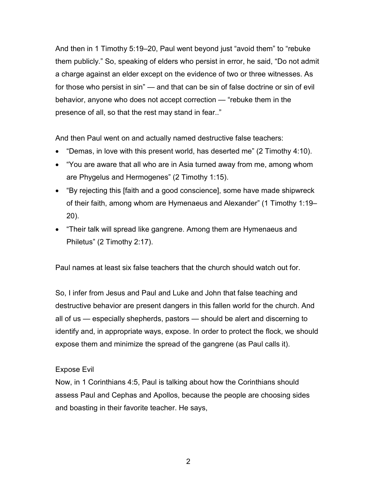And then in 1 Timothy 5:19–20, Paul went beyond just "avoid them" to "rebuke them publicly." So, speaking of elders who persist in error, he said, "Do not admit a charge against an elder except on the evidence of two or three witnesses. As for those who persist in sin" — and that can be sin of false doctrine or sin of evil behavior, anyone who does not accept correction — "rebuke them in the presence of all, so that the rest may stand in fear.."

And then Paul went on and actually named destructive false teachers:

- "Demas, in love with this present world, has deserted me" (2 Timothy 4:10).
- "You are aware that all who are in Asia turned away from me, among whom are Phygelus and Hermogenes" (2 Timothy 1:15).
- "By rejecting this [faith and a good conscience], some have made shipwreck of their faith, among whom are Hymenaeus and Alexander" (1 Timothy 1:19– 20).
- "Their talk will spread like gangrene. Among them are Hymenaeus and Philetus" (2 Timothy 2:17).

Paul names at least six false teachers that the church should watch out for.

So, I infer from Jesus and Paul and Luke and John that false teaching and destructive behavior are present dangers in this fallen world for the church. And all of us — especially shepherds, pastors — should be alert and discerning to identify and, in appropriate ways, expose. In order to protect the flock, we should expose them and minimize the spread of the gangrene (as Paul calls it).

# Expose Evil

Now, in 1 Corinthians 4:5, Paul is talking about how the Corinthians should assess Paul and Cephas and Apollos, because the people are choosing sides and boasting in their favorite teacher. He says,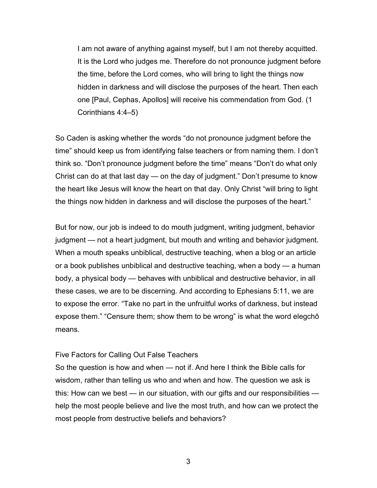I am not aware of anything against myself, but I am not thereby acquitted. It is the Lord who judges me. Therefore do not pronounce judgment before the time, before the Lord comes, who will bring to light the things now hidden in darkness and will disclose the purposes of the heart. Then each one [Paul, Cephas, Apollos] will receive his commendation from God. (1 Corinthians 4:4–5)

So Caden is asking whether the words "do not pronounce judgment before the time" should keep us from identifying false teachers or from naming them. I don't think so. "Don't pronounce judgment before the time" means "Don't do what only Christ can do at that last day — on the day of judgment." Don't presume to know the heart like Jesus will know the heart on that day. Only Christ "will bring to light the things now hidden in darkness and will disclose the purposes of the heart."

But for now, our job is indeed to do mouth judgment, writing judgment, behavior judgment — not a heart judgment, but mouth and writing and behavior judgment. When a mouth speaks unbiblical, destructive teaching, when a blog or an article or a book publishes unbiblical and destructive teaching, when a body — a human body, a physical body — behaves with unbiblical and destructive behavior, in all these cases, we are to be discerning. And according to Ephesians 5:11, we are to expose the error. "Take no part in the unfruitful works of darkness, but instead expose them." "Censure them; show them to be wrong" is what the word elegchō means.

#### Five Factors for Calling Out False Teachers

So the question is how and when — not if. And here I think the Bible calls for wisdom, rather than telling us who and when and how. The question we ask is this: How can we best — in our situation, with our gifts and our responsibilities help the most people believe and live the most truth, and how can we protect the most people from destructive beliefs and behaviors?

3